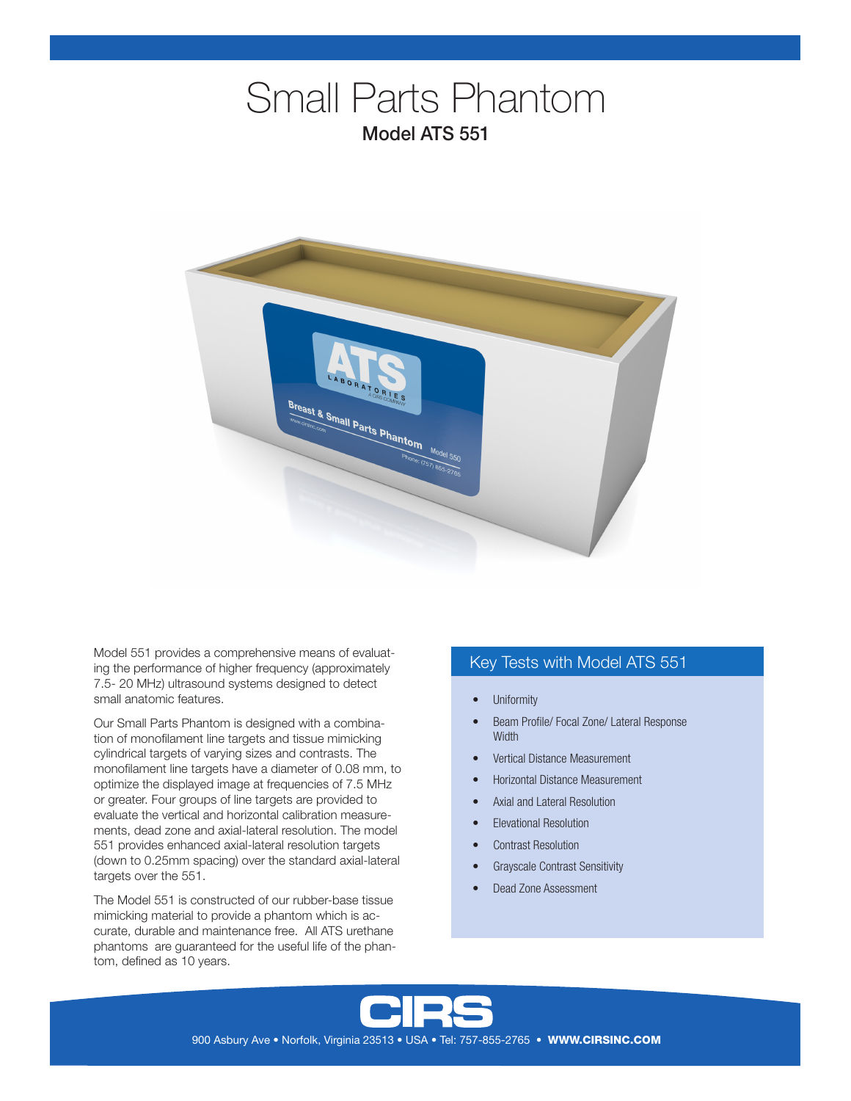# Small Parts Phantom Model ATS 551



Model 551 provides a comprehensive means of evaluating the performance of higher frequency (approximately 7.5- 20 MHz) ultrasound systems designed to detect small anatomic features.

Our Small Parts Phantom is designed with a combination of monofilament line targets and tissue mimicking cylindrical targets of varying sizes and contrasts. The monofilament line targets have a diameter of 0.08 mm, to optimize the displayed image at frequencies of 7.5 MHz or greater. Four groups of line targets are provided to evaluate the vertical and horizontal calibration measurements, dead zone and axial-lateral resolution. The model 551 provides enhanced axial-lateral resolution targets (down to 0.25mm spacing) over the standard axial-lateral targets over the 551.

The Model 551 is constructed of our rubber-base tissue mimicking material to provide a phantom which is accurate, durable and maintenance free. All ATS urethane phantoms are guaranteed for the useful life of the phantom, defined as 10 years.

# Key Tests with Model ATS 551

- **Uniformity**
- Beam Profile/ Focal Zone/ Lateral Response **Width**
- Vertical Distance Measurement
- Horizontal Distance Measurement
- Axial and Lateral Resolution
- Elevational Resolution
- Contrast Resolution
- Grayscale Contrast Sensitivity
- Dead Zone Assessment



900 Asbury Ave • Norfolk, Virginia 23513 • USA • Tel: 757-855-2765 • WWW.CIRSINC.COM